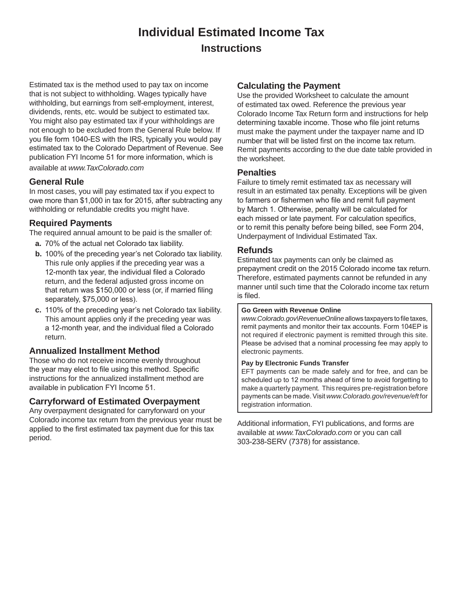## **Individual Estimated Income Tax Instructions**

Estimated tax is the method used to pay tax on income that is not subject to withholding. Wages typically have withholding, but earnings from self-employment, interest, dividends, rents, etc. would be subject to estimated tax. You might also pay estimated tax if your withholdings are not enough to be excluded from the General Rule below. If you file form 1040-ES with the IRS, typically you would pay estimated tax to the Colorado Department of Revenue. See publication FYI Income 51 for more information, which is available at *www.TaxColorado.com*

### **General Rule**

In most cases, you will pay estimated tax if you expect to owe more than \$1,000 in tax for 2015, after subtracting any withholding or refundable credits you might have.

#### **Required Payments**

The required annual amount to be paid is the smaller of:

- **a.** 70% of the actual net Colorado tax liability.
- **b.** 100% of the preceding year's net Colorado tax liability. This rule only applies if the preceding year was a 12-month tax year, the individual filed a Colorado return, and the federal adjusted gross income on that return was \$150,000 or less (or, if married filing separately, \$75,000 or less).
- **c.** 110% of the preceding year's net Colorado tax liability. This amount applies only if the preceding year was a 12-month year, and the individual filed a Colorado return.

#### **Annualized Installment Method**

Those who do not receive income evenly throughout the year may elect to file using this method. Specific instructions for the annualized installment method are available in publication FYI Income 51.

#### **Carryforward of Estimated Overpayment**

Any overpayment designated for carryforward on your Colorado income tax return from the previous year must be applied to the first estimated tax payment due for this tax period.

#### **Calculating the Payment**

Use the provided Worksheet to calculate the amount of estimated tax owed. Reference the previous year Colorado Income Tax Return form and instructions for help determining taxable income. Those who file joint returns must make the payment under the taxpayer name and ID number that will be listed first on the income tax return. Remit payments according to the due date table provided in the worksheet.

#### **Penalties**

Failure to timely remit estimated tax as necessary will result in an estimated tax penalty. Exceptions will be given to farmers or fishermen who file and remit full payment by March 1. Otherwise, penalty will be calculated for each missed or late payment. For calculation specifics, or to remit this penalty before being billed, see Form 204, Underpayment of Individual Estimated Tax.

#### **Refunds**

Estimated tax payments can only be claimed as prepayment credit on the 2015 Colorado income tax return. Therefore, estimated payments cannot be refunded in any manner until such time that the Colorado income tax return is filed.

#### **Go Green with Revenue Online**

*www.Colorado.gov\RevenueOnline* allows taxpayers to file taxes, remit payments and monitor their tax accounts. Form 104EP is not required if electronic payment is remitted through this site. Please be advised that a nominal processing fee may apply to electronic payments.

#### **Pay by Electronic Funds Transfer**

EFT payments can be made safely and for free, and can be scheduled up to 12 months ahead of time to avoid forgetting to make a quarterly payment. This requires pre-registration before payments can be made. Visit *www.Colorado.gov/revenue/eft* for registration information.

Additional information, FYI publications, and forms are available at *www.TaxColorado.com* or you can call 303-238-SERV (7378) for assistance.